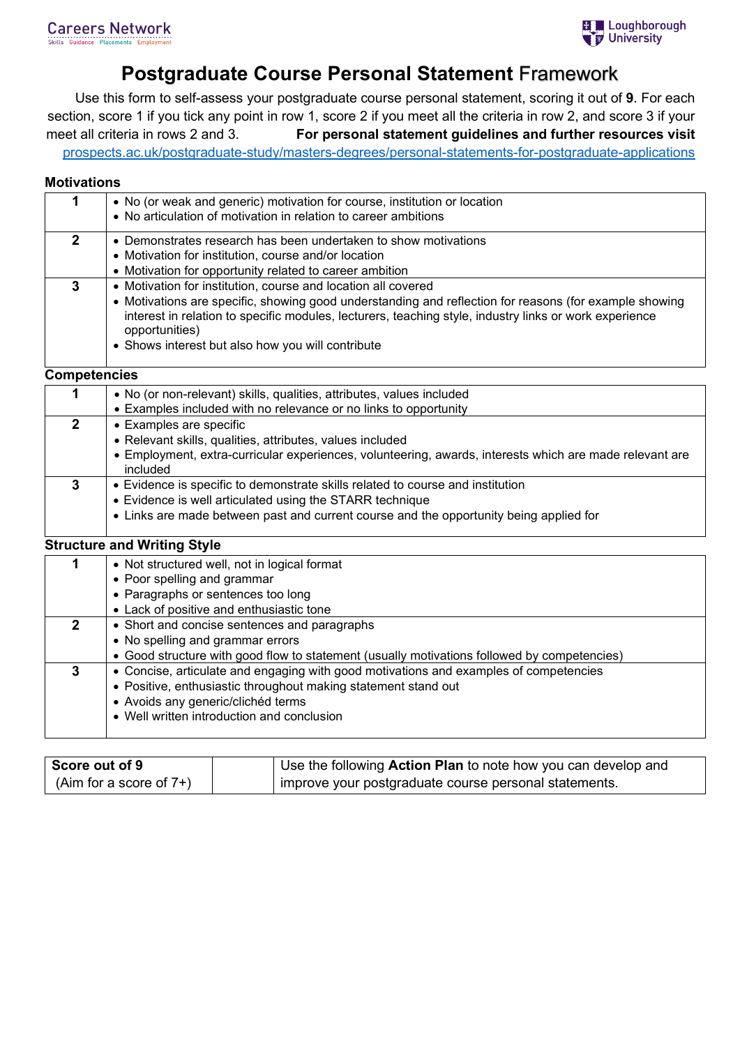# **Postgraduate Course Personal Statement** Framework

Use this form to self-assess your postgraduate course personal statement, scoring it out of **9**. For each section, score 1 if you tick any point in row 1, score 2 if you meet all the criteria in row 2, and score 3 if your meet all criteria in rows 2 and 3. **For personal statement guidelines and further resources visit** [prospects.ac.uk/postgraduate-study/masters-degrees/personal-statements-for-postgraduate-applications](https://www.prospects.ac.uk/postgraduate-study/masters-degrees/personal-statements-for-postgraduate-applications)

### **Motivations**

|   | • No (or weak and generic) motivation for course, institution or location<br>• No articulation of motivation in relation to career ambitions                                                                                                                                                                                                             |
|---|----------------------------------------------------------------------------------------------------------------------------------------------------------------------------------------------------------------------------------------------------------------------------------------------------------------------------------------------------------|
| 2 | • Demonstrates research has been undertaken to show motivations<br>• Motivation for institution, course and/or location<br>• Motivation for opportunity related to career ambition                                                                                                                                                                       |
| 3 | • Motivation for institution, course and location all covered<br>• Motivations are specific, showing good understanding and reflection for reasons (for example showing<br>interest in relation to specific modules, lecturers, teaching style, industry links or work experience<br>opportunities)<br>• Shows interest but also how you will contribute |

#### **Competencies**

|   | • No (or non-relevant) skills, qualities, attributes, values included                                               |
|---|---------------------------------------------------------------------------------------------------------------------|
|   | • Examples included with no relevance or no links to opportunity                                                    |
|   | • Examples are specific                                                                                             |
|   | • Relevant skills, qualities, attributes, values included                                                           |
|   | • Employment, extra-curricular experiences, volunteering, awards, interests which are made relevant are<br>included |
| 3 | • Evidence is specific to demonstrate skills related to course and institution                                      |
|   | • Evidence is well articulated using the STARR technique                                                            |
|   | • Links are made between past and current course and the opportunity being applied for                              |
|   |                                                                                                                     |

## **Structure and Writing Style**

| • Not structured well, not in logical format                                                |
|---------------------------------------------------------------------------------------------|
| • Poor spelling and grammar                                                                 |
| • Paragraphs or sentences too long                                                          |
| • Lack of positive and enthusiastic tone                                                    |
| • Short and concise sentences and paragraphs                                                |
| • No spelling and grammar errors                                                            |
| • Good structure with good flow to statement (usually motivations followed by competencies) |
| • Concise, articulate and engaging with good motivations and examples of competencies       |
| • Positive, enthusiastic throughout making statement stand out                              |
| • Avoids any generic/clichéd terms                                                          |
| • Well written introduction and conclusion                                                  |
|                                                                                             |

| Score out of 9             | Use the following Action Plan to note how you can develop and |
|----------------------------|---------------------------------------------------------------|
| (Aim for a score of $7+$ ) | improve your postgraduate course personal statements.         |